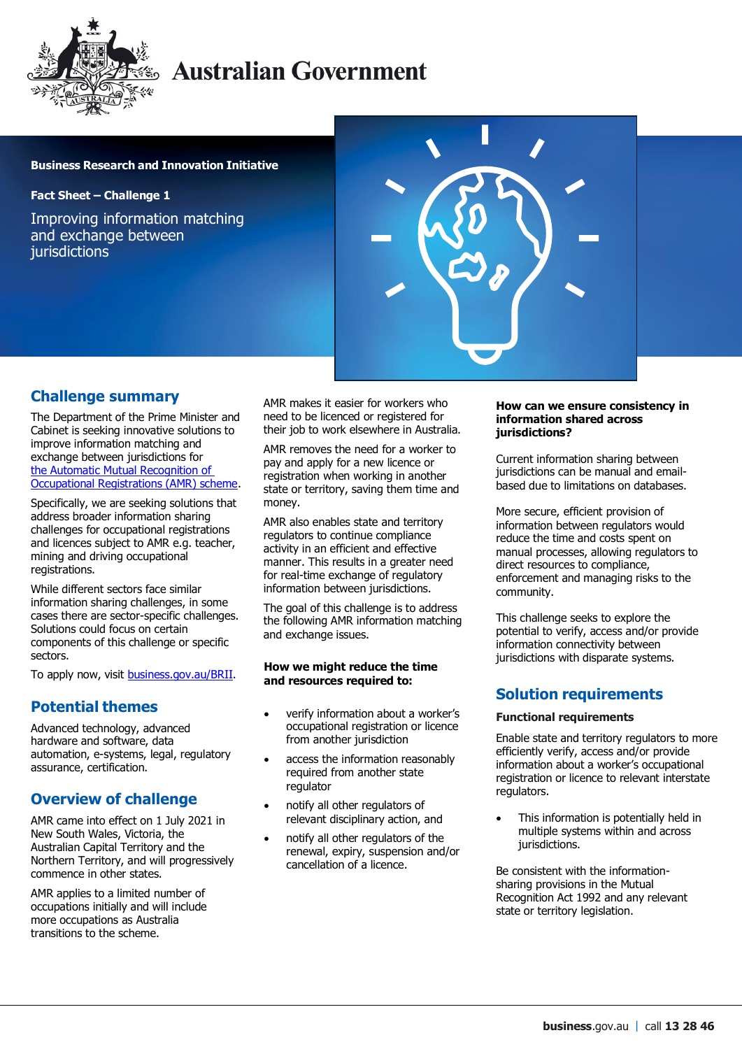

# **Australian Government**

### **Business Research and Innovation Initiative**

**Fact Sheet – Challenge 1**

Improving information matching and exchange between **jurisdictions** 



### **Challenge summary**

The Department of the Prime Minister and Cabinet is seeking innovative solutions to improve information matching and exchange between jurisdictions for [the Automatic Mutual Recognition of](https://deregulation.pmc.gov.au/priorities/improving-occupational-mobility)  [Occupational Registrations \(AMR\) scheme.](https://deregulation.pmc.gov.au/priorities/improving-occupational-mobility)

Specifically, we are seeking solutions that address broader information sharing challenges for occupational registrations and licences subject to AMR e.g. teacher, mining and driving occupational registrations.

While different sectors face similar information sharing challenges, in some cases there are sector-specific challenges. Solutions could focus on certain components of this challenge or specific sectors.

To apply now, visit [business.gov.au/BRII.](https://business.gov.au/grants-and-programs/business-research-and-innovation-initiative)

## **Potential themes**

Advanced technology, advanced hardware and software, data automation, e-systems, legal, regulatory assurance, certification.

# **Overview of challenge**

AMR came into effect on 1 July 2021 in New South Wales, Victoria, the Australian Capital Territory and the Northern Territory, and will progressively commence in other states.

AMR applies to a limited number of occupations initially and will include more occupations as Australia transitions to the scheme.

AMR makes it easier for workers who need to be licenced or registered for their job to work elsewhere in Australia.

AMR removes the need for a worker to pay and apply for a new licence or registration when working in another state or territory, saving them time and money.

AMR also enables state and territory regulators to continue compliance activity in an efficient and effective manner. This results in a greater need for real-time exchange of regulatory information between jurisdictions.

The goal of this challenge is to address the following AMR information matching and exchange issues.

### **How we might reduce the time and resources required to:**

- verify information about a worker's occupational registration or licence from another jurisdiction
- access the information reasonably required from another state regulator
- notify all other regulators of relevant disciplinary action, and
- notify all other regulators of the renewal, expiry, suspension and/or cancellation of a licence.

#### **How can we ensure consistency in information shared across jurisdictions?**

Current information sharing between jurisdictions can be manual and emailbased due to limitations on databases.

More secure, efficient provision of information between regulators would reduce the time and costs spent on manual processes, allowing regulators to direct resources to compliance, enforcement and managing risks to the community.

This challenge seeks to explore the potential to verify, access and/or provide information connectivity between jurisdictions with disparate systems.

# **Solution requirements**

### **Functional requirements**

Enable state and territory regulators to more efficiently verify, access and/or provide information about a worker's occupational registration or licence to relevant interstate regulators.

 This information is potentially held in multiple systems within and across jurisdictions.

Be consistent with the informationsharing provisions in the Mutual Recognition Act 1992 and any relevant state or territory legislation.